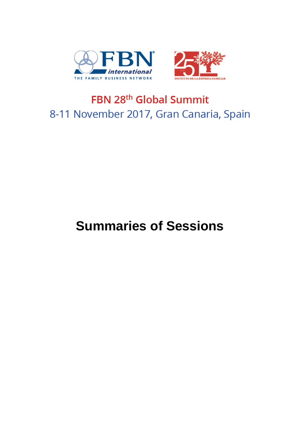



## FBN 28<sup>th</sup> Global Summit 8-11 November 2017, Gran Canaria, Spain

# **Summaries of Sessions**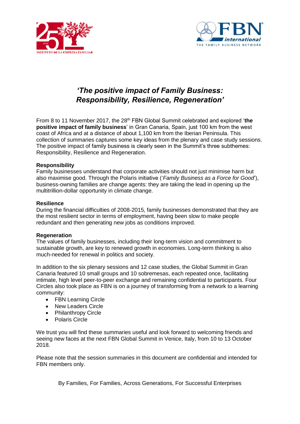



## *'The positive impact of Family Business: Responsibility, Resilience, Regeneration'*

From 8 to 11 November 2017, the 28th FBN Global Summit celebrated and explored '**the positive impact of family business**' in Gran Canaria, Spain, just 100 km from the west coast of Africa and at a distance of about 1,100 km from the Iberian Peninsula. This collection of summaries captures some key ideas from the plenary and case study sessions. The positive impact of family business is clearly seen in the Summit's three subthemes: Responsibility, Resilience and Regeneration.

#### **Responsibility**

Family businesses understand that corporate activities should not just minimise harm but also maximise good. Through the Polaris initiative ('*Family Business as a Force for Good*'), business-owning families are change agents: they are taking the lead in opening up the multitrillion-dollar opportunity in climate change.

#### **Resilience**

During the financial difficulties of 2008-2015, family businesses demonstrated that they are the most resilient sector in terms of employment, having been slow to make people redundant and then generating new jobs as conditions improved.

#### **Regeneration**

The values of family businesses, including their long-term vision and commitment to sustainable growth, are key to renewed growth in economies. Long-term thinking is also much-needed for renewal in politics and society.

In addition to the six plenary sessions and 12 case studies, the Global Summit in Gran Canaria featured 10 small groups and 10 sobremesas, each repeated once, facilitating intimate, high level peer-to-peer exchange and remaining confidential to participants. Four Circles also took place as FBN is on a journey of transforming from a network to a learning community:

- FBN Learning Circle
- New Leaders Circle
- Philanthropy Circle
- Polaris Circle

We trust you will find these summaries useful and look forward to welcoming friends and seeing new faces at the next FBN Global Summit in Venice, Italy, from 10 to 13 October 2018.

Please note that the session summaries in this document are confidential and intended for FBN members only.

By Families, For Families, Across Generations, For Successful Enterprises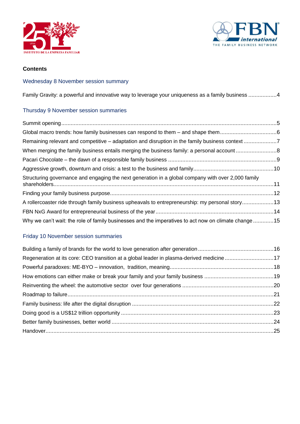



## **Contents**

## Wednesday 8 November session summary

[Family Gravity: a powerful and innovative way to leverage your uniqueness as a family business](#page-3-0) ..................4

## Thursday 9 November session summaries

| Remaining relevant and competitive - adaptation and disruption in the family business context 7      |  |
|------------------------------------------------------------------------------------------------------|--|
|                                                                                                      |  |
|                                                                                                      |  |
|                                                                                                      |  |
| Structuring governance and engaging the next generation in a global company with over 2,000 family   |  |
|                                                                                                      |  |
| A rollercoaster ride through family business upheavals to entrepreneurship: my personal story13      |  |
|                                                                                                      |  |
| Why we can't wait: the role of family businesses and the imperatives to act now on climate change 15 |  |

## Friday 10 November session summaries

| Regeneration at its core: CEO transition at a global leader in plasma-derived medicine 17 |  |
|-------------------------------------------------------------------------------------------|--|
|                                                                                           |  |
|                                                                                           |  |
|                                                                                           |  |
|                                                                                           |  |
|                                                                                           |  |
|                                                                                           |  |
|                                                                                           |  |
|                                                                                           |  |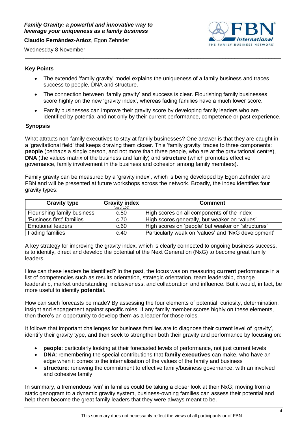<span id="page-3-0"></span>**Claudio Fernández-Aráoz**, Egon Zehnder



Wednesday 8 November

## **Key Points**

• The extended 'family gravity' model explains the uniqueness of a family business and traces success to people, DNA and structure.

\_\_\_\_\_\_\_\_\_\_\_\_\_\_\_\_\_\_\_\_\_\_\_\_\_\_\_\_\_\_\_\_\_\_\_\_\_\_\_\_\_\_\_\_\_\_\_\_\_\_\_\_\_\_\_\_\_\_\_\_\_\_\_\_\_\_\_\_\_\_\_\_\_\_\_\_\_\_\_\_\_\_\_

- The connection between 'family gravity' and success is clear. Flourishing family businesses score highly on the new 'gravity index', whereas fading families have a much lower score.
- Family businesses can improve their gravity score by developing family leaders who are identified by potential and not only by their current performance, competence or past experience.

## **Synopsis**

What attracts non-family executives to stay at family businesses? One answer is that they are caught in a 'gravitational field' that keeps drawing them closer. This 'family gravity' traces to three components: **people** (perhaps a single person, and not more than three people, who are at the gravitational centre). **DNA** (the values matrix of the business and family) and **structure** (which promotes effective governance, family involvement in the business and cohesion among family members).

Family gravity can be measured by a 'gravity index', which is being developed by Egon Zehnder and FBN and will be presented at future workshops across the network. Broadly, the index identifies four gravity types:

| <b>Gravity type</b>         | <b>Gravity index</b><br>(out of 100) | <b>Comment</b>                                      |
|-----------------------------|--------------------------------------|-----------------------------------------------------|
| Flourishing family business | c.80                                 | High scores on all components of the index          |
| 'Business first' families   | c.70                                 | High scores generally, but weaker on 'values'       |
| <b>Emotional leaders</b>    | c.60                                 | High scores on 'people' but weaker on 'structures'  |
| <b>Fading families</b>      | c.40                                 | Particularly weak on 'values' and 'NxG development' |

A key strategy for improving the gravity index, which is clearly connected to ongoing business success, is to identify, direct and develop the potential of the Next Generation (NxG) to become great family leaders.

How can these leaders be identified? In the past, the focus was on measuring **current** performance in a list of competencies such as results orientation, strategic orientation, team leadership, change leadership, market understanding, inclusiveness, and collaboration and influence. But it would, in fact, be more useful to identify **potential**.

How can such forecasts be made? By assessing the four elements of potential: curiosity, determination, insight and engagement against specific roles. If any family member scores highly on these elements, then there's an opportunity to develop them as a leader for those roles.

It follows that important challenges for business families are to diagnose their current level of 'gravity', identify their gravity type, and then seek to strengthen both their gravity and performance by focusing on:

- **people**: particularly looking at their forecasted levels of performance, not just current levels
- **DNA**: remembering the special contributions that **family executives** can make, who have an edge when it comes to the internalisation of the values of the family and business
- **structure**: renewing the commitment to effective family/business governance, with an involved and cohesive family

In summary, a tremendous 'win' in families could be taking a closer look at their NxG; moving from a static genogram to a dynamic gravity system, business-owning families can assess their potential and help them become the great family leaders that they were always meant to be.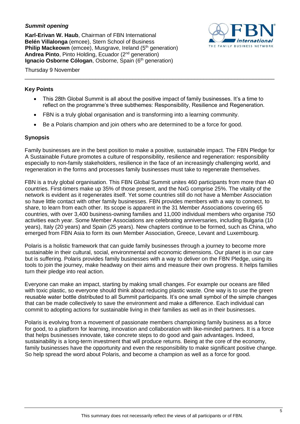## <span id="page-4-0"></span>*Summit opening*

**Karl-Erivan W. Haub**, Chairman of FBN International **Belén Villalonga** (emcee), Stern School of Business **Philip Mackeown** (emcee), Musgrave, Ireland (5<sup>th</sup> generation) Andrea Pinto, Pinto Holding, Ecuador (2<sup>nd</sup> generation) **Ignacio Osborne Cólogan**, Osborne, Spain (6<sup>th</sup> generation)



#### Thursday 9 November \_\_\_\_\_\_\_\_\_\_\_\_\_\_\_\_\_\_\_\_\_\_\_\_\_\_\_\_\_\_\_\_\_\_\_\_\_\_\_\_\_\_\_\_\_\_\_\_\_\_\_\_\_\_\_\_\_\_\_\_\_\_\_\_\_\_\_\_\_\_\_\_\_\_\_\_\_\_\_\_\_

#### **Key Points**

- This 28th Global Summit is all about the positive impact of family businesses. It's a time to reflect on the programme's three subthemes: Responsibility, Resilience and Regeneration.
- FBN is a truly global organisation and is transforming into a learning community.
- Be a Polaris champion and join others who are determined to be a force for good.

## **Synopsis**

Family businesses are in the best position to make a positive, sustainable impact. The FBN Pledge for A Sustainable Future promotes a culture of responsibility, resilience and regeneration: responsibility especially to non-family stakeholders, resilience in the face of an increasingly challenging world, and regeneration in the forms and processes family businesses must take to regenerate themselves.

FBN is a truly global organisation. This FBN Global Summit unites 460 participants from more than 40 countries. First-timers make up 35% of those present, and the NxG comprise 25%. The vitality of the network is evident as it regenerates itself. Yet some countries still do not have a Member Association so have little contact with other family businesses. FBN provides members with a way to connect, to share, to learn from each other. Its scope is apparent in the 31 Member Associations covering 65 countries, with over 3,400 business-owning families and 11,000 individual members who organise 750 activities each year. Some Member Associations are celebrating anniversaries, including Bulgaria (10 years), Italy (20 years) and Spain (25 years). New chapters continue to be formed, such as China, who emerged from FBN Asia to form its own Member Association, Greece, Levant and Luxembourg.

Polaris is a holistic framework that can guide family businesses through a journey to become more sustainable in their cultural, social, environmental and economic dimensions. Our planet is in our care but is suffering. Polaris provides family businesses with a way to deliver on the FBN Pledge, using its tools to join the journey, make headway on their aims and measure their own progress. It helps families turn their pledge into real action.

Everyone can make an impact, starting by making small changes. For example our oceans are filled with toxic plastic, so everyone should think about reducing plastic waste. One way is to use the green reusable water bottle distributed to all Summit participants. It's one small symbol of the simple changes that can be made collectively to save the environment and make a difference. Each individual can commit to adopting actions for sustainable living in their families as well as in their businesses.

Polaris is evolving from a movement of passionate members championing family business as a force for good, to a platform for learning, innovation and collaboration with like-minded partners. It is a force that helps businesses innovate, take concrete steps to do good and gain advantages. Indeed, sustainability is a long-term investment that will produce returns. Being at the core of the economy, family businesses have the opportunity and even the responsibility to make significant positive change. So help spread the word about Polaris, and become a champion as well as a force for good.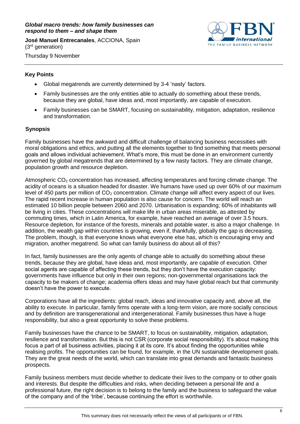#### <span id="page-5-0"></span>*Global macro trends: how family businesses can respond to them – and shape them*

**José Manuel Entrecanales**, ACCIONA, Spain (3rd generation)

<span id="page-5-1"></span>

Thursday 9 November

## **Key Points**

- Global megatrends are currently determined by 3-4 'nasty' factors.
- Family businesses are the only entities able to actually do something about these trends, because they are global, have ideas and, most importantly, are capable of execution.
- Family businesses can be SMART, focusing on sustainability, mitigation, adaptation, resilience and transformation.

## **Synopsis**

Family businesses have the awkward and difficult challenge of balancing business necessities with moral obligations and ethics, and putting all the elements together to find something that meets personal goals and allows individual achievement. What's more, this must be done in an environment currently governed by global megatrends that are determined by a few nasty factors. They are climate change, population growth and resource depletion.

Atmospheric  $CO<sub>2</sub>$  concentration has increased, affecting temperatures and forcing climate change. The acidity of oceans is a situation headed for disaster. We humans have used up over 60% of our maximum level of 450 parts per million of  $CO<sub>2</sub>$  concentration. Climate change will affect every aspect of our lives. The rapid recent increase in human population is also cause for concern. The world will reach an estimated 10 billion people between 2060 and 2070. Urbanisation is expanding; 60% of inhabitants will be living in cities. These concentrations will make life in urban areas miserable, as attested by commuting times, which in Latin America, for example, have reached an average of over 3.5 hours. Resource depletion, for instance of the forests, minerals and potable water, is also a major challenge. In addition, the wealth gap within countries is growing, even if, thankfully, globally the gap is decreasing. The problem, though, is that everyone knows what everyone else has, which is encouraging envy and migration, another megatrend. So what can family business do about all of this?

In fact, family businesses are the only agents of change able to actually do something about these trends, because they are global, have ideas and, most importantly, are capable of execution. Other social agents are capable of affecting these trends, but they don't have the execution capacity: governments have influence but only in their own regions; non-governmental organisations lack the capacity to be makers of change; academia offers ideas and may have global reach but that community doesn't have the power to execute.

Corporations have all the ingredients: global reach, ideas and innovative capacity and, above all, the ability to execute. In particular, family firms operate with a long-term vision, are more socially conscious and by definition are transgenerational and intergenerational. Family businesses thus have a huge responsibility, but also a great opportunity to solve these problems.

Family businesses have the chance to be SMART, to focus on sustainability, mitigation, adaptation, resilience and transformation. But this is not CSR (corporate social responsibility). It's about making this focus a part of all business activities, placing it at its core. It's about finding the opportunities while realising profits. The opportunities can be found, for example, in the UN sustainable development goals. They are the great needs of the world, which can translate into great demands and fantastic business prospects.

Family business members must decide whether to dedicate their lives to the company or to other goals and interests. But despite the difficulties and risks, when deciding between a personal life and a professional future, the right decision is to belong to the family and the business to safeguard the value of the company and of the 'tribe', because continuing the effort is worthwhile.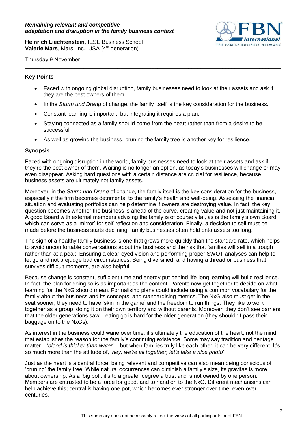<span id="page-6-0"></span>**Heinrich Liechtenstein**, IESE Business School **Valerie Mars**, Mars, Inc., USA (4<sup>th</sup> generation)



Thursday 9 November

#### **Key Points**

• Faced with ongoing global disruption, family businesses need to look at their assets and ask if they are the best owners of them.

\_\_\_\_\_\_\_\_\_\_\_\_\_\_\_\_\_\_\_\_\_\_\_\_\_\_\_\_\_\_\_\_\_\_\_\_\_\_\_\_\_\_\_\_\_\_\_\_\_\_\_\_\_\_\_\_\_\_\_\_\_\_\_\_\_\_\_\_\_\_\_\_\_\_\_\_\_\_\_\_\_\_\_

- In the *Sturm und Drang* of change, the family itself is the key consideration for the business.
- Constant learning is important, but integrating it requires a plan.
- Staying connected as a family should come from the heart rather than from a desire to be successful.
- As well as growing the business, pruning the family tree is another key for resilience.

#### **Synopsis**

Faced with ongoing disruption in the world, family businesses need to look at their assets and ask if they're the best owner of them. Waiting is no longer an option, as today's businesses will change or may even disappear. Asking hard questions with a certain distance are crucial for resilience, because business assets are ultimately not family assets.

Moreover, in the *Sturm und Drang* of change, the family itself is the key consideration for the business, especially if the firm becomes detrimental to the family's health and well-being. Assessing the financial situation and evaluating portfolios can help determine if owners are destroying value. In fact, the key question becomes whether the business is ahead of the curve, creating value and not just maintaining it. A good Board with external members advising the family is of course vital, as is the family's own Board, which can serve as a 'mirror' for self-reflection and consideration. Finally, a decision to sell must be made before the business starts declining; family businesses often hold onto assets too long.

The sign of a healthy family business is one that grows more quickly than the standard rate, which helps to avoid uncomfortable conversations about the business and the risk that families will sell in a trough rather than at a peak. Ensuring a clear-eyed vision and performing proper SWOT analyses can help to let go and not prejudge bad circumstances. Being diversified, and having a thread or business that survives difficult moments, are also helpful.

Because change is constant, sufficient time and energy put behind life-long learning will build resilience. In fact, the plan for doing so is as important as the content. Parents now get together to decide on what learning for the NxG should mean. Formalising plans could include using a common vocabulary for the family about the business and its concepts, and standardising metrics. The NxG also must get in the seat sooner; they need to have 'skin in the game' and the freedom to run things. They like to work together as a group, doing it on their own territory and without parents. Moreover, they don't see barriers that the older generations saw. Letting go is hard for the older generation (they shouldn't pass their baggage on to the NxGs).

As interest in the business could wane over time, it's ultimately the education of the heart, not the mind, that establishes the reason for the family's continuing existence. Some may say tradition and heritage matter – '*blood is thicker than water*' – but when families truly like each other, it can be very different. It's so much more than the attitude of, '*hey, we're all together, let's take a nice photo*'.

Just as the heart is a central force, being relevant and competitive can also mean being conscious of 'pruning' the family tree. While natural occurrences can diminish a family's size, its gravitas is more about ownership. As a 'big pot', it's to a greater degree a trust and is not owned by one person. Members are entrusted to be a force for good, and to hand on to the NxG. Different mechanisms can help achieve this; central is having one pot, which becomes ever stronger over time, even over centuries.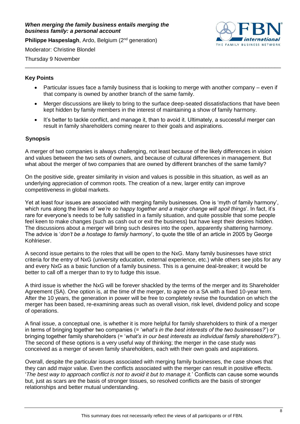#### <span id="page-7-0"></span>*When merging the family business entails merging the business family: a personal account*

**Philippe Haspeslagh**, Ardo, Belgium (2<sup>nd</sup> generation)



Moderator: Christine Blondel

Thursday 9 November \_\_\_\_\_\_\_\_\_\_\_\_\_\_\_\_\_\_\_\_\_\_\_\_\_\_\_\_\_\_\_\_\_\_\_\_\_\_\_\_\_\_\_\_\_\_\_\_\_\_\_\_\_\_\_\_\_\_\_\_\_\_\_\_\_\_\_\_\_\_\_\_\_\_\_\_\_\_\_\_\_\_\_

## **Key Points**

- Particular issues face a family business that is looking to merge with another company even if that company is owned by another branch of the same family.
- Merger discussions are likely to bring to the surface deep-seated dissatisfactions that have been kept hidden by family members in the interest of maintaining a show of family harmony.
- It's better to tackle conflict, and manage it, than to avoid it. Ultimately, a successful merger can result in family shareholders coming nearer to their goals and aspirations.

## **Synopsis**

A merger of two companies is always challenging, not least because of the likely differences in vision and values between the two sets of owners, and because of cultural differences in management. But what about the merger of two companies that are owned by different branches of the same family?

On the positive side, greater similarity in vision and values is possible in this situation, as well as an underlying appreciation of common roots. The creation of a new, larger entity can improve competitiveness in global markets.

Yet at least four issues are associated with merging family businesses. One is 'myth of family harmony', which runs along the lines of '*we're so happy together and a major change will spoil things*'. In fact, it's rare for everyone's needs to be fully satisfied in a family situation, and quite possible that some people feel keen to make changes (such as cash out or exit the business) but have kept their desires hidden. The discussions about a merger will bring such desires into the open, apparently shattering harmony. The advice is '*don't be a hostage to family harmony*', to quote the title of an article in 2005 by George Kohlrieser.

A second issue pertains to the roles that will be open to the NxG. Many family businesses have strict criteria for the entry of NxG (university education, external experience, etc.) while others see jobs for any and every NxG as a basic function of a family business. This is a genuine deal-breaker; it would be better to call off a merger than to try to fudge this issue.

A third issue is whether the NxG will be forever shackled by the terms of the merger and its Shareholder Agreement (SA). One option is, at the time of the merger, to agree on a SA with a fixed 10-year term. After the 10 years, the generation in power will be free to completely revise the foundation on which the merger has been based, re-examining areas such as overall vision, risk level, dividend policy and scope of operations.

A final issue, a conceptual one, is whether it is more helpful for family shareholders to think of a merger in terms of bringing together two companies (= '*what's in the best interests of the two businesses?*') or bringing together family shareholders (= '*what's in our best interests as individual family shareholders?*'). The second of these options is a very useful way of thinking; the merger in the case study was conceived as a merger of seven family shareholders, each with their own goals and aspirations.

Overall, despite the particular issues associated with merging family businesses, the case shows that they can add major value. Even the conflicts associated with the merger can result in positive effects. '*The best way to approach conflict is not to avoid it but to manage it.*' Conflicts can cause some wounds but, just as scars are the basis of stronger tissues, so resolved conflicts are the basis of stronger relationships and better mutual understanding.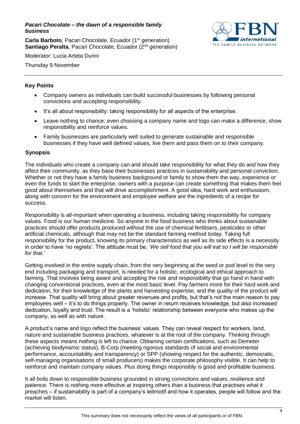<span id="page-8-0"></span>*Pacari Chocolate – the dawn of a responsible family business*

**Carla Barboto**, Pacari Chocolate, Ecuador (1<sup>st</sup> generation) **Santiago Peralta**, Pacari Chocolate, Ecuador (2<sup>nd</sup> generation)



Moderator: Lucia Arteta Durini

Thursday 9 November

## **Key Points**

- Company owners as individuals can build successful businesses by following personal convictions and accepting responsibility.
- It's all about responsibility: taking responsibility for all aspects of the enterprise.
- Leave nothing to chance; even choosing a company name and logo can make a difference, show responsibility and reinforce values.
- Family businesses are particularly well suited to generate sustainable and responsible businesses if they have well defined values, live them and pass them on to their company.

## **Synopsis**

The individuals who create a company can and should take responsibility for what they do and how they affect their community, as they base their businesses practices in sustainability and personal conviction. Whether or not they have a family business background or family to show them the way, experience or even the funds to start the enterprise, owners with a purpose can create something that makes them feel good about themselves and that will drive accomplishment. A good idea, hard work and enthusiasm, along with concern for the environment and employee welfare are the ingredients of a recipe for success.

Responsibility is all-important when operating a business, including taking responsibility for company values. Food is our human medicine. So anyone in the food business who thinks about sustainable practices should offer products produced without the use of chemical fertilisers, pesticides or other artificial chemicals, although that may not be the standard farming method today. Taking full responsibility for the product, knowing its primary characteristics as well as its side effects is a necessity in order to have 'no regrets'. The attitude must be, '*We sell food that you will eat so I will be responsible for that*.'

Getting involved in the entire supply chain, from the very beginning at the seed or pod level to the very end including packaging and transport, is needed for a holistic, ecological and ethical approach to farming. That involves being aware and accepting the risk and responsibility that go hand in hand with changing conventional practices, even at the most basic level. Pay farmers more for their hard work and dedication, for their knowledge of the plants and harvesting expertise, and the quality of the product will increase. That quality will bring about greater revenues and profits, but that's not the main reason to pay employees well – it's to do things properly. The owner in return receives knowledge, but also increased dedication, loyalty and trust. The result is a 'holistic' relationship between everyone who makes up the company, as well as with nature.

A product's name and logo reflect the business' values. They can reveal respect for workers, land, nature and sustainable business practices, whatever is at the root of the company. Thinking through these aspects means nothing is left to chance. Obtaining certain certifications, such as Demeter (achieving biodynamic status), B-Corp (meeting rigorous standards of social and environmental performance, accountability and transparency) or SPP (showing respect for the authentic, democratic, self-managing organisations of small producers) makes the corporate philosophy visible. It can help to reinforce and maintain company values. Plus doing things responsibly is good and profitable business.

It all boils down to responsible business grounded in strong convictions and values, resilience and patience. There is nothing more effective at inspiring others than a business that practises what it preaches – if sustainability is part of a company's leitmotif and how it operates, people will follow and the market will listen.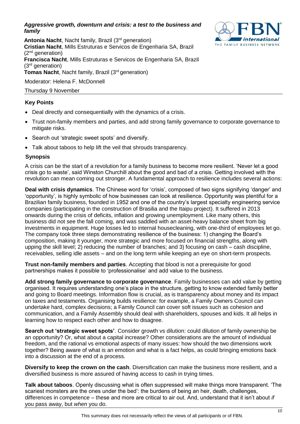#### <span id="page-9-0"></span>*Aggressive growth, downturn and crisis: a test to the business and family*



Antonia Nacht, Nacht family, Brazil (3<sup>rd</sup> generation) **Cristian Nacht**, Mills Estruturas e Servicos de Engenharia SA, Brazil  $(2<sup>nd</sup>$  generation) **Francisca Nacht**, Mills Estruturas e Servicos de Engenharia SA, Brazil (3rd generation) **Tomas Nacht**, Nacht family, Brazil (3<sup>rd</sup> generation) Moderator: Helena F. McDonnell

## Thursday 9 November

## **Key Points**

- Deal directly and consequentially with the dynamics of a crisis.
- Trust non-family members and parties, and add strong family governance to corporate governance to mitigate risks.
- Search out 'strategic sweet spots' and diversify.
- Talk about taboos to help lift the veil that shrouds transparency.

## **Synopsis**

A crisis can be the start of a revolution for a family business to become more resilient. 'Never let a good crisis go to waste', said Winston Churchill about the good and bad of a crisis. Getting involved with the revolution can mean coming out stronger. A fundamental approach to resilience includes several actions:

**Deal with crisis dynamics**. The Chinese word for 'crisis', composed of two signs signifying 'danger' and 'opportunity', is highly symbolic of how businesses can look at resilience. Opportunity was plentiful for a Brazilian family business, founded in 1952 and one of the country's largest specialty engineering service companies (participating in the construction of Brasilia and the Itaipu project). It suffered in 2013 onwards during the crisis of deficits, inflation and growing unemployment. Like many others, this business did not see the fall coming, and was saddled with an asset-heavy balance sheet from big investments in equipment. Huge losses led to internal housecleaning, with one-third of employees let go. The company took three steps demonstrating resilience of the business: 1) changing the Board's composition, making it younger, more strategic and more focused on financial strengths, along with upping the skill level; 2) reducing the number of branches; and 3) focusing on cash – cash discipline, receivables, selling idle assets – and on the long term while keeping an eye on short-term prospects.

**Trust non-family members and parties**. Accepting that blood is not a prerequisite for good partnerships makes it possible to 'professionalise' and add value to the business.

**Add strong family governance to corporate governance**. Family businesses can add value by getting organised. It requires understanding one's place in the structure, getting to know extended family better and going to Board meetings. Information flow is crucial, as is transparency about money and its impact on taxes and testaments. Organising builds resilience: for example, a Family Owners Council can undertake hard, complex decisions; a Family Council can cover soft issues such as cohesion and communication, and a Family Assembly should deal with shareholders, spouses and kids. It all helps in learning how to respect each other and how to disagree.

**Search out 'strategic sweet spots'**. Consider growth vs dilution: could dilution of family ownership be an opportunity? Or, what about a capital increase? Other considerations are the amount of individual freedom, and the rational vs emotional aspects of many issues: how should the two dimensions work together? Being aware of what is an emotion and what is a fact helps, as could bringing emotions back into a discussion at the end of a process.

**Diversify to keep the crown on the cash**. Diversification can make the business more resilient, and a diversified business is more assured of having access to cash in trying times.

**Talk about taboos**. Openly discussing what is often suppressed will make things more transparent. 'The scariest monsters are the ones under the bed': the burdens of being an heir, death, challenges, differences in competence – these and more are critical to air out. And, understand that it isn't about *if*  you pass away, but *when* you do.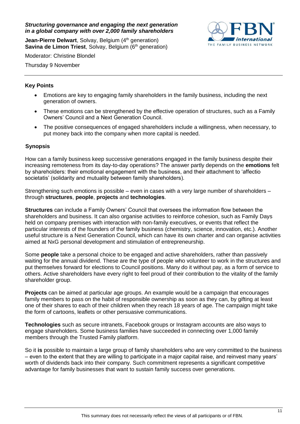<span id="page-10-0"></span>*Structuring governance and engaging the next generation in a global company with over 2,000 family shareholders*

**Jean-Pierre Delwart**, Solvay, Belgium (4<sup>th</sup> generation) **Savina de Limon Triest, Solvay, Belgium (6th generation)**  THE FAMILY BUSINESS NETWORK

Moderator: Christine Blondel

Thursday 9 November

## **Key Points**

- Emotions are key to engaging family shareholders in the family business, including the next generation of owners.
- These emotions can be strengthened by the effective operation of structures, such as a Family Owners' Council and a Next Generation Council.
- The positive consequences of engaged shareholders include a willingness, when necessary, to put money back into the company when more capital is needed.

#### **Synopsis**

How can a family business keep successive generations engaged in the family business despite their increasing remoteness from its day-to-day operations? The answer partly depends on the **emotions** felt by shareholders: their emotional engagement with the business, and their attachment to 'affectio societatis' (solidarity and mutuality between family shareholders).

Strengthening such emotions is possible – even in cases with a very large number of shareholders – through **structures**, **people**, **projects** and **technologies**.

**Structures** can include a Family Owners' Council that oversees the information flow between the shareholders and business. It can also organise activities to reinforce cohesion, such as Family Days held on company premises with interaction with non-family executives, or events that reflect the particular interests of the founders of the family business (chemistry, science, innovation, etc.). Another useful structure is a Next Generation Council, which can have its own charter and can organise activities aimed at NxG personal development and stimulation of entrepreneurship.

Some **people** take a personal choice to be engaged and active shareholders, rather than passively waiting for the annual dividend. These are the type of people who volunteer to work in the structures and put themselves forward for elections to Council positions. Many do it without pay, as a form of service to others. Active shareholders have every right to feel proud of their contribution to the vitality of the family shareholder group.

**Projects** can be aimed at particular age groups. An example would be a campaign that encourages family members to pass on the habit of responsible ownership as soon as they can, by gifting at least one of their shares to each of their children when they reach 18 years of age. The campaign might take the form of cartoons, leaflets or other persuasive communications.

**Technologies** such as secure intranets, Facebook groups or Instagram accounts are also ways to engage shareholders. Some business families have succeeded in connecting over 1,000 family members through the Trusted Family platform.

So it **is** possible to maintain a large group of family shareholders who are very committed to the business – even to the extent that they are willing to participate in a major capital raise, and reinvest many years' worth of dividends back into their company. Such commitment represents a significant competitive advantage for family businesses that want to sustain family success over generations.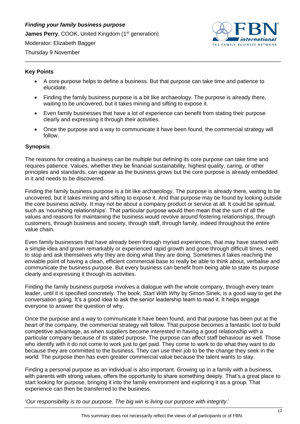<span id="page-11-0"></span>*Finding your family business purpose* **James Perry, COOK, United Kingdom (1st generation)** 

Moderator: Elizabeth Bagger



Thursday 9 November

## **Key Points**

• A core purpose helps to define a business. But that purpose can take time and patience to elucidate.

\_\_\_\_\_\_\_\_\_\_\_\_\_\_\_\_\_\_\_\_\_\_\_\_\_\_\_\_\_\_\_\_\_\_\_\_\_\_\_\_\_\_\_\_\_\_\_\_\_\_\_\_\_\_\_\_\_\_\_\_\_\_\_\_\_\_\_\_\_\_\_\_\_\_\_\_\_\_\_\_\_\_\_

- Finding the family business purpose is a bit like archaeology. The purpose is already there, waiting to be uncovered, but it takes mining and sifting to expose it.
- Even family businesses that have a lot of experience can benefit from stating their purpose clearly and expressing it through their activities.
- Once the purpose and a way to communicate it have been found, the commercial strategy will follow.

## **Synopsis**

The reasons for creating a business can be multiple but defining its core purpose can take time and requires patience. Values, whether they be financial sustainability, highest quality, caring, or other principles and standards, can appear as the business grows but the core purpose is already embedded in it and needs to be discovered.

Finding the family business purpose is a bit like archaeology. The purpose is already there, waiting to be uncovered, but it takes mining and sifting to expose it. And that purpose may be found by looking outside the core business activity. It may not be about a company product or service at all. It could be spiritual, such as 'nourishing relationships'. That particular purpose would then mean that the sum of all the values and reasons for maintaining the business would revolve around fostering relationships, through customers, through business and society, through staff, through family, indeed throughout the entire value chain.

Even family businesses that have already been through myriad experiences, that may have started with a simple idea and grown remarkably or experienced rapid growth and gone through difficult times, need to stop and ask themselves why they are doing what they are doing. Sometimes it takes reaching the enviable point of having a clean, efficient commercial base to really be able to think about, verbalise and communicate the business purpose. But every business can benefit from being able to state its purpose clearly and expressing it through its activities.

Finding the family business purpose involves a dialogue with the whole company, through every team leader, until it is specified concretely. The book, *Start With Why* by Simon Sinek, is a good way to get the conversation going. It's a good idea to ask the senior leadership team to read it. It helps engage everyone to answer the question of why.

Once the purpose and a way to communicate it have been found, and that purpose has been put at the heart of the company, the commercial strategy will follow. That purpose becomes a fantastic tool to build competitive advantage, as when suppliers become interested in having a good relationship with a particular company because of its stated purpose. The purpose can affect staff behaviour as well. Those who identify with it do not come to work just to get paid. They come to work to do what they want to do because they are committed to the business. They can use their job to be the change they seek in the world. The purpose then has even greater commercial value because the talent wants to stay.

Finding a personal purpose as an individual is also important. Growing up in a family with a business, with parents with strong values, offers the opportunity to share something deeply. That's a great place to start looking for purpose, bringing it into the family environment and exploring it as a group. That experience can then be transferred to the business.

'*Our responsibility is to our purpose. The big win is living our purpose with integrity*.'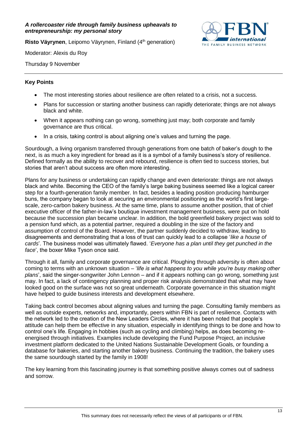#### <span id="page-12-0"></span>*A rollercoaster ride through family business upheavals to entrepreneurship: my personal story*

**Risto Väyrynen**, Leipomo Väyrynen, Finland (4<sup>th</sup> generation)

THE FAMILY RUSINESS NETWORK

Moderator: Alexis du Roy

Thursday 9 November

## **Key Points**

- The most interesting stories about resilience are often related to a crisis, not a success.
- Plans for succession or starting another business can rapidly deteriorate; things are not always black and white.
- When it appears nothing can go wrong, something just may; both corporate and family governance are thus critical.
- In a crisis, taking control is about aligning one's values and turning the page.

Sourdough, a living organism transferred through generations from one batch of baker's dough to the next, is as much a key ingredient for bread as it is a symbol of a family business's story of resilience. Defined formally as the ability to recover and rebound, resilience is often tied to success stories, but stories that aren't about success are often more interesting.

Plans for any business or undertaking can rapidly change and even deteriorate: things are not always black and white. Becoming the CEO of the family's large baking business seemed like a logical career step for a fourth-generation family member. In fact, besides a leading position producing hamburger buns, the company began to look at securing an environmental positioning as the world's first largescale, zero-carbon bakery business. At the same time, plans to assume another position, that of chief executive officer of the father-in-law's boutique investment management business, were put on hold because the succession plan became unclear. In addition, the bold greenfield bakery project was sold to a pension fund which, as a potential partner, required a doubling in the size of the factory and assumption of control of the Board. However, the partner suddenly decided to withdraw, leading to disagreements and demonstrating that a loss of trust can quickly lead to a collapse '*like a house of cards*'. The business model was ultimately flawed. '*Everyone has a plan until they get punched in the face*', the boxer Mike Tyson once said.

Through it all, family and corporate governance are critical. Ploughing through adversity is often about coming to terms with an unknown situation – '*life is what happens to you while you're busy making other plans*', said the singer-songwriter John Lennon – and if it appears nothing can go wrong, something just may. In fact, a lack of contingency planning and proper risk analysis demonstrated that what may have looked good on the surface was not so great underneath. Corporate governance in this situation might have helped to guide business interests and development elsewhere.

Taking back control becomes about aligning values and turning the page. Consulting family members as well as outside experts, networks and, importantly, peers within FBN is part of resilience. Contacts with the network led to the creation of the New Leaders Circles, where it has been noted that people's attitude can help them be effective in any situation, especially in identifying things to be done and how to control one's life. Engaging in hobbies (such as cycling and climbing) helps, as does becoming reenergised through initiatives. Examples include developing the Fund Purpose Project, an inclusive investment platform dedicated to the United Nations Sustainable Development Goals, or founding a database for bakeries, and starting another bakery business. Continuing the tradition, the bakery uses the same sourdough started by the family in 1908!

The key learning from this fascinating journey is that something positive always comes out of sadness and sorrow.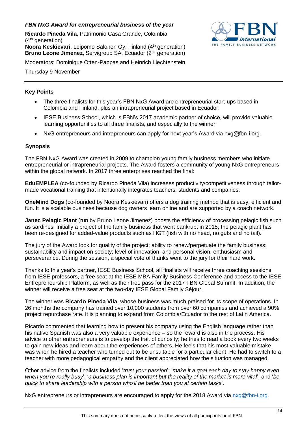## <span id="page-13-0"></span>*FBN NxG Award for entrepreneurial business of the year*

**Ricardo Pineda Vila**, Patrimonio Casa Grande, Colombia  $(4<sup>th</sup>$  generation) **Noora Keskievari**, Leipomo Salonen Oy, Finland (4<sup>th</sup> generation) **Bruno Leone Jimenez**, Servigroup SA, Ecuador (2<sup>nd</sup> generation)



Moderators: Dominique Otten-Pappas and Heinrich Liechtenstein

Thursday 9 November

## **Key Points**

- The three finalists for this year's FBN NxG Award are entrepreneurial start-ups based in Colombia and Finland, plus an intrapreneurial project based in Ecuador.
- IESE Business School, which is FBN's 2017 academic partner of choice, will provide valuable learning opportunities to all three finalists, and especially to the winner.
- NxG entrepreneurs and intrapreneurs can apply for next year's Award via nxg@fbn-i.org.

#### **Synopsis**

The FBN NxG Award was created in 2009 to champion young family business members who initiate entrepreneurial or intrapreneurial projects. The Award fosters a community of young NxG entrepreneurs within the global network. In 2017 three enterprises reached the final:

**EduEMPLEA** (co-founded by Ricardo Pineda Vila) increases productivity/competitiveness through tailormade vocational training that intentionally integrates teachers, students and companies.

**OneMind Dogs** (co-founded by Noora Keskievari) offers a dog training method that is easy, efficient and fun. It is a scalable business because dog owners learn online and are supported by a coach network.

**Janec Pelagic Plant** (run by Bruno Leone Jimenez) boosts the efficiency of processing pelagic fish such as sardines. Initially a project of the family business that went bankrupt in 2015, the pelagic plant has been re-designed for added-value products such as HGT (fish with no head, no guts and no tail).

The jury of the Award look for quality of the project; ability to renew/perpetuate the family business; sustainability and impact on society; level of innovation; and personal vision, enthusiasm and perseverance. During the session, a special vote of thanks went to the jury for their hard work.

Thanks to this year's partner, IESE Business School, all finalists will receive three coaching sessions from IESE professors, a free seat at the IESE MBA Family Business Conference and access to the IESE Entrepreneurship Platform, as well as their free pass for the 2017 FBN Global Summit. In addition, the winner will receive a free seat at the two-day IESE Global Family Séjour.

The winner was **Ricardo Pineda Vila**, whose business was much praised for its scope of operations. In 26 months the company has trained over 10,000 students from over 60 companies and achieved a 90% project repurchase rate. It is planning to expand from Colombia/Ecuador to the rest of Latin America.

Ricardo commented that learning how to present his company using the English language rather than his native Spanish was also a very valuable experience – so the reward is also in the process. His advice to other entrepreneurs is to develop the trait of curiosity; he tries to read a book every two weeks to gain new ideas and learn about the experiences of others. He feels that his most valuable mistake was when he hired a teacher who turned out to be unsuitable for a particular client. He had to switch to a teacher with more pedagogical empathy and the client appreciated how the situation was managed.

Other advice from the finalists included '*trust your passion*'; '*make it a goal each day to stay happy even when you're really busy*'; '*a business plan is important but the reality of the market is more vital*'; and '*be quick to share leadership with a person who'll be better than you at certain tasks*'.

NxG entrepreneurs or intrapreneurs are encouraged to apply for the 2018 Award via [nxg@fbn-i.org.](mailto:nxg@fbn-i.org)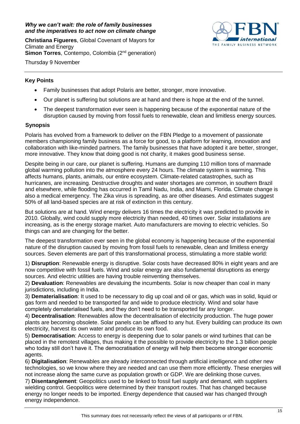#### <span id="page-14-0"></span>*Why we can't wait: the role of family businesses and the imperatives to act now on climate change*

**Christiana Figueres**, Global Covenant of Mayors for Climate and Energy **Simon Torres**, Contempo, Colombia (2<sup>nd</sup> generation) Thursday 9 November



## **Key Points**

- Family businesses that adopt Polaris are better, stronger, more innovative.
- Our planet is suffering but solutions are at hand and there is hope at the end of the tunnel.
- The deepest transformation ever seen is happening because of the exponential nature of the disruption caused by moving from fossil fuels to renewable, clean and limitless energy sources.

## **Synopsis**

Polaris has evolved from a framework to deliver on the FBN Pledge to a movement of passionate members championing family business as a force for good, to a platform for learning, innovation and collaboration with like-minded partners. The family businesses that have adopted it are better, stronger, more innovative. They know that doing good is not charity, it makes good business sense.

Despite being in our care, our planet is suffering. Humans are dumping 110 million tons of manmade global warming pollution into the atmosphere every 24 hours. The climate system is warming. This affects humans, plants, animals, our entire ecosystem. Climate-related catastrophes, such as hurricanes, are increasing. Destructive droughts and water shortages are common, in southern Brazil and elsewhere, while flooding has occurred in Tamil Nadu, India, and Miami, Florida. Climate change is also a medical emergency. The Zika virus is spreading, as are other diseases. And estimates suggest 50% of all land-based species are at risk of extinction in this century.

But solutions are at hand. Wind energy delivers 16 times the electricity it was predicted to provide in 2010. Globally, wind could supply more electricity than needed, 40 times over. Solar installations are increasing, as is the energy storage market. Auto manufacturers are moving to electric vehicles. So things can and are changing for the better.

The deepest transformation ever seen in the global economy is happening because of the exponential nature of the disruption caused by moving from fossil fuels to renewable, clean and limitless energy sources. Seven elements are part of this transformational process, stimulating a more stable world:

1) **Disruption**: Renewable energy is disruptive. Solar costs have decreased 80% in eight years and are now competitive with fossil fuels. Wind and solar energy are also fundamental disruptions as energy sources. And electric utilities are having trouble reinventing themselves.

2) **Devaluation**: Renewables are devaluing the incumbents. Solar is now cheaper than coal in many jurisdictions, including in India.

3) **Dematerialisation**: It used to be necessary to dig up coal and oil or gas, which was in solid, liquid or gas form and needed to be transported far and wide to produce electricity. Wind and solar have completely dematerialised fuels, and they don't need to be transported far any longer.

4) **Decentralisation**: Renewables allow the decentralisation of electricity production. The huge power plants are becoming obsolete. Solar panels can be affixed to any hut. Every building can produce its own electricity, harvest its own water and produce its own food.

5) **Democratisation**: Access to energy is deepening due to solar panels or wind turbines that can be placed in the remotest villages, thus making it the possible to provide electricity to the 1.3 billion people who today still don't have it. The democratisation of energy will help them become stronger economic agents.

6) **Digitalisation**: Renewables are already interconnected through artificial intelligence and other new technologies, so we know where they are needed and can use them more efficiently. These energies will not increase along the same curve as population growth or GDP. We are delinking those curves.

7) **Disentanglement**: Geopolitics used to be linked to fossil fuel supply and demand, with suppliers wielding control. Geopolitics were determined by their transport routes. That has changed because energy no longer needs to be imported. Energy dependence that caused war has changed through energy independence.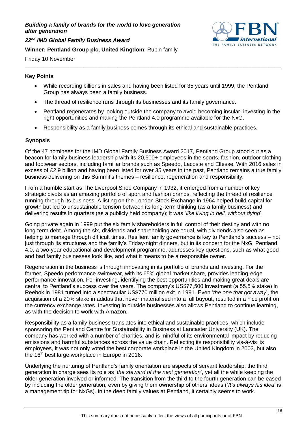#### <span id="page-15-0"></span>*Building a family of brands for the world to love generation after generation*



*22nd IMD Global Family Business Award*

#### **Winner: Pentland Group plc, United Kingdom**: Rubin family

Friday 10 November

#### **Key Points**

• While recording billions in sales and having been listed for 35 years until 1999, the Pentland Group has always been a family business.

\_\_\_\_\_\_\_\_\_\_\_\_\_\_\_\_\_\_\_\_\_\_\_\_\_\_\_\_\_\_\_\_\_\_\_\_\_\_\_\_\_\_\_\_\_\_\_\_\_\_\_\_\_\_\_\_\_\_\_\_\_\_\_\_\_\_\_\_\_\_\_\_\_\_\_\_\_\_\_\_\_\_\_

- The thread of resilience runs through its businesses and its family governance.
- Pentland regenerates by looking outside the company to avoid becoming insular, investing in the right opportunities and making the Pentland 4.0 programme available for the NxG.
- Responsibility as a family business comes through its ethical and sustainable practices.

#### **Synopsis**

Of the 47 nominees for the IMD Global Family Business Award 2017, Pentland Group stood out as a beacon for family business leadership with its 20,500+ employees in the sports, fashion, outdoor clothing and footwear sectors, including familiar brands such as Speedo, Lacoste and Ellesse. With 2016 sales in excess of £2.9 billion and having been listed for over 35 years in the past, Pentland remains a true family business delivering on this Summit's themes – resilience, regeneration and responsibility.

From a humble start as The Liverpool Shoe Company in 1932, it emerged from a number of key strategic pivots as an amazing portfolio of sport and fashion brands, reflecting the thread of resilience running through its business. A listing on the London Stock Exchange in 1964 helped build capital for growth but led to unsustainable tension between its long-term thinking (as a family business) and delivering results in quarters (as a publicly held company); it was '*like living in hell, without dying*'.

Going private again in 1999 put the six family shareholders in full control of their destiny and with no long-term debt. Among the six, dividends and shareholding are equal, with dividends also seen as helping to manage through difficult times. Resilient family governance is key to Pentland's success – not just through its structures and the family's Friday-night dinners, but in its concern for the NxG. Pentland 4.0, a two-year educational and development programme, addresses key questions, such as what good and bad family businesses look like, and what it means to be a responsible owner.

Regeneration in the business is through innovating in its portfolio of brands and investing. For the former, Speedo performance swimwear, with its 65% global market share, provides leading-edge performance innovation. For investing, identifying the best opportunities and making great deals are central to Pentland's success over the years. The company's US\$77,500 investment (a 55.5% stake) in Reebok in 1981 turned into a spectacular US\$770 million exit in 1991. Even '*the one that got away*', the acquisition of a 20% stake in adidas that never materialised into a full buyout, resulted in a nice profit on the currency exchange rates. Investing in outside businesses also allows Pentland to continue learning, as with the decision to work with Amazon.

Responsibility as a family business translates into ethical and sustainable practices, which include sponsoring the Pentland Centre for Sustainability in Business at Lancaster University (UK). The company has worked with a number of charities, and is mindful of its environmental impact by reducing emissions and harmful substances across the value chain. Reflecting its responsibility vis-à-vis its employees, it was not only voted the best corporate workplace in the United Kingdom in 2003, but also the  $16<sup>th</sup>$  best large workplace in Europe in 2016.

Underlying the nurturing of Pentland's family orientation are aspects of servant leadership; the third generation in charge sees its role as '*the steward of the next generation*', yet all the while keeping the older generation involved or informed. The transition from the third to the fourth generation can be eased by including the older generation, even by giving them ownership of others' ideas ('*It's always his idea*' is a management tip for NxGs). In the deep family values at Pentland, it certainly seems to work.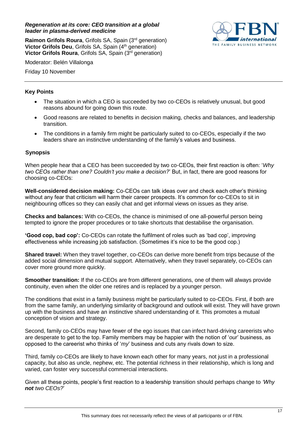#### <span id="page-16-0"></span>*Regeneration at its core: CEO transition at a global leader in plasma-derived medicine*

**Raimon Grifols Roura**, Grifols SA, Spain (3<sup>rd</sup> generation) **Victor Grifols Deu**, Grifols SA, Spain (4<sup>th</sup> generation) **Victor Grifols Roura**, Grifols SA, Spain (3rd generation)



Moderator: Belén Villalonga

Friday 10 November

## **Key Points**

- The situation in which a CEO is succeeded by two co-CEOs is relatively unusual, but good reasons abound for going down this route.
- Good reasons are related to benefits in decision making, checks and balances, and leadership transition.
- The conditions in a family firm might be particularly suited to co-CEOs, especially if the two leaders share an instinctive understanding of the family's values and business.

## **Synopsis**

When people hear that a CEO has been succeeded by two co-CEOs, their first reaction is often: '*Why two CEOs rather than one? Couldn't you make a decision?*' But, in fact, there are good reasons for choosing co-CEOs:

**Well-considered decision making:** Co-CEOs can talk ideas over and check each other's thinking without any fear that criticism will harm their career prospects. It's common for co-CEOs to sit in neighbouring offices so they can easily chat and get informal views on issues as they arise.

**Checks and balances:** With co-CEOs, the chance is minimised of one all-powerful person being tempted to ignore the proper procedures or to take shortcuts that destabilise the organisation.

**'Good cop, bad cop':** Co-CEOs can rotate the fulfilment of roles such as 'bad cop', improving effectiveness while increasing job satisfaction. (Sometimes it's nice to be the good cop.)

**Shared travel:** When they travel together, co-CEOs can derive more benefit from trips because of the added social dimension and mutual support. Alternatively, when they travel separately, co-CEOs can cover more ground more quickly.

**Smoother transition:** If the co-CEOs are from different generations, one of them will always provide continuity, even when the older one retires and is replaced by a younger person.

The conditions that exist in a family business might be particularly suited to co-CEOs. First, if both are from the same family, an underlying similarity of background and outlook will exist. They will have grown up with the business and have an instinctive shared understanding of it. This promotes a mutual conception of vision and strategy.

Second, family co-CEOs may have fewer of the ego issues that can infect hard-driving careerists who are desperate to get to the top. Family members may be happier with the notion of '*our*' business, as opposed to the careerist who thinks of '*my*' business and cuts any rivals down to size.

Third, family co-CEOs are likely to have known each other for many years, not just in a professional capacity, but also as uncle, nephew, etc. The potential richness in their relationship, which is long and varied, can foster very successful commercial interactions.

Given all these points, people's first reaction to a leadership transition should perhaps change to *'Why not two CEOs?*'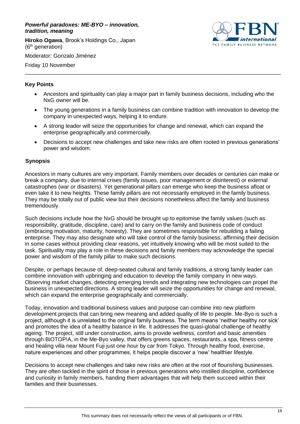#### <span id="page-17-0"></span>*Powerful paradoxes: ME-BYO – innovation, tradition, meaning*

**Hiroko Ogawa**, Brook's Holdings Co., Japan (6th generation)



Moderator: Gonzalo Jiménez

Friday 10 November

## **Key Points**

• Ancestors and spirituality can play a major part in family business decisions, including who the NxG owner will be.

\_\_\_\_\_\_\_\_\_\_\_\_\_\_\_\_\_\_\_\_\_\_\_\_\_\_\_\_\_\_\_\_\_\_\_\_\_\_\_\_\_\_\_\_\_\_\_\_\_\_\_\_\_\_\_\_\_\_\_\_\_\_\_\_\_\_\_\_\_\_\_\_\_\_\_\_\_\_\_\_\_\_\_

- The young generations in a family business can combine tradition with innovation to develop the company in unexpected ways, helping it to endure.
- A strong leader will seize the opportunities for change and renewal, which can expand the enterprise geographically and commercially.
- Decisions to accept new challenges and take new risks are often rooted in previous generations' power and wisdom.

## **Synopsis**

Ancestors in many cultures are very important. Family members over decades or centuries can make or break a company, due to internal crises (family issues, poor management or disinterest) or external catastrophes (war or disasters). Yet generational pillars can emerge who keep the business afloat or even take it to new heights. These family pillars are not necessarily employed in the family business. They may be totally out of public view but their decisions nonetheless affect the family and business tremendously.

Such decisions include how the NxG should be brought up to epitomise the family values (such as responsibility, gratitude, discipline, care) and to carry on the family and business code of conduct (embracing motivation, maturity, honesty). They are sometimes responsible for rebuilding a failing enterprise. They may also designate who will take control of the family business, affirming their decision in some cases without providing clear reasons, yet intuitively knowing who will be most suited to the task. Spirituality may play a role in these decisions and family members may acknowledge the special power and wisdom of the family pillar to make such decisions.

Despite, or perhaps because of, deep-seated cultural and family traditions, a strong family leader can combine innovation with upbringing and education to develop the family company in new ways. Observing market changes, detecting emerging trends and integrating new technologies can propel the business in unexpected directions. A strong leader will seize the opportunities for change and renewal, which can expand the enterprise geographically and commercially.

Today, innovation and traditional business values and purpose can combine into new platform development projects that can bring new meaning and added quality of life to people. Me-Byo is such a project, although it is unrelated to the original family business. The term means 'neither healthy nor sick' and promotes the idea of a healthy balance in life. It addresses the quasi-global challenge of healthy ageing. The project, still under construction, aims to provide wellness, comfort and basic amenities through BiOTOP!A, in the Me-Byo valley, that offers greens spaces, restaurants, a spa, fitness centre and healing villa near Mount Fuji just one hour by car from Tokyo. Through healthy food, exercise, nature experiences and other programmes, it helps people discover a 'new' healthier lifestyle.

Decisions to accept new challenges and take new risks are often at the root of flourishing businesses. They are often tackled in the spirit of those in previous generations who instilled discipline, confidence and curiosity in family members, handing them advantages that will help them succeed within their families and their businesses.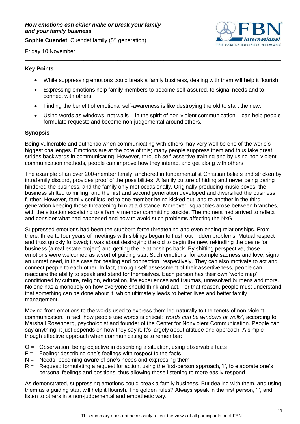<span id="page-18-0"></span>**Sophie Cuendet, Cuendet family (5<sup>th</sup> generation)** 



Friday 10 November

#### **Key Points**

• While suppressing emotions could break a family business, dealing with them will help it flourish.

\_\_\_\_\_\_\_\_\_\_\_\_\_\_\_\_\_\_\_\_\_\_\_\_\_\_\_\_\_\_\_\_\_\_\_\_\_\_\_\_\_\_\_\_\_\_\_\_\_\_\_\_\_\_\_\_\_\_\_\_\_\_\_\_\_\_\_\_\_\_\_\_\_\_\_\_\_\_\_\_\_\_\_

- Expressing emotions help family members to become self-assured, to signal needs and to connect with others.
- Finding the benefit of emotional self-awareness is like destroying the old to start the new.
- Using words as windows, not walls in the spirit of non-violent communication can help people formulate requests and become non-judgemental around others.

#### **Synopsis**

Being vulnerable and authentic when communicating with others may very well be one of the world's biggest challenges. Emotions are at the core of this; many people suppress them and thus take great strides backwards in communicating. However, through self-assertive training and by using non-violent communication methods, people can improve how they interact and get along with others.

The example of an over 200-member family, anchored in fundamentalist Christian beliefs and stricken by intrafamily discord, provides proof of the possibilities. A family culture of hiding and never being daring hindered the business, and the family only met occasionally. Originally producing music boxes, the business shifted to milling, and the first and second generation developed and diversified the business further. However, family conflicts led to one member being kicked out, and to another in the third generation keeping those threatening him at a distance. Moreover, squabbles arose between branches, with the situation escalating to a family member committing suicide. The moment had arrived to reflect and consider what had happened and how to avoid such problems affecting the NxG.

Suppressed emotions had been the stubborn force threatening and even ending relationships. From there, three to four years of meetings with siblings began to flush out hidden problems. Mutual respect and trust quickly followed; it was about destroying the old to begin the new, rekindling the desire for business (a real estate project) and getting the relationships back. By shifting perspective, those emotions were welcomed as a sort of guiding star. Such emotions, for example sadness and love, signal an unmet need, in this case for healing and connection, respectively. They can also motivate to act and connect people to each other. In fact, through self-assessment of their assertiveness, people can reacquire the ability to speak and stand for themselves. Each person has their own 'world map', conditioned by culture, religion, education, life experiences and traumas, unresolved burdens and more. No one has a monopoly on how everyone should think and act. For that reason, people must understand that something can be done about it, which ultimately leads to better lives and better family management.

Moving from emotions to the words used to express them led naturally to the tenets of non-violent communication. In fact, how people use words is critical: '*words can be windows or walls*', according to Marshall Rosenberg, psychologist and founder of the Center for Nonviolent Communication. People can say anything; it just depends on how they say it. It's largely about attitude and approach. A simple though effective approach when communicating is to remember:

- O = Observation: being objective in describing a situation, using observable facts
- $F =$  Feeling: describing one's feelings with respect to the facts
- $N =$  Needs: becoming aware of one's needs and expressing them
- R = Request: formulating a request for action, using the first-person approach, 'I', to elaborate one's personal feelings and positions, thus allowing those listening to more easily respond

As demonstrated, suppressing emotions could break a family business. But dealing with them, and using them as a guiding star, will help it flourish. The golden rules? Always speak in the first person, 'I', and listen to others in a non-judgemental and empathetic way.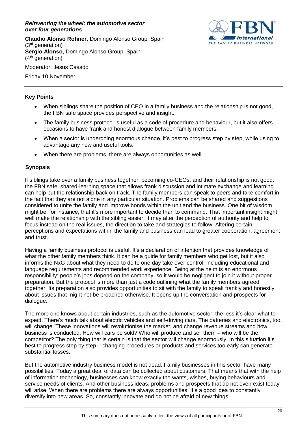#### <span id="page-19-0"></span>*Reinventing the wheel: the automotive sector over four generations*

**Claudio Alonso Rohner**, Domingo Alonso Group, Spain (3rd generation) **Sergio Alonso**, Domingo Alonso Group, Spain  $(4<sup>th</sup>$  generation) Moderator: Jesus Casado



Friday 10 November

## **Key Points**

- When siblings share the position of CEO in a family business and the relationship is not good, the FBN safe space provides perspective and insight.
- The family business protocol is useful as a code of procedure and behaviour, but it also offers occasions to have frank and honest dialogue between family members.
- When a sector is undergoing enormous change, it's best to progress step by step, while using to advantage any new and useful tools.
- When there are problems, there are always opportunities as well.

## **Synopsis**

If siblings take over a family business together, becoming co-CEOs, and their relationship is not good, the FBN safe, shared-learning space that allows frank discussion and intimate exchange and learning can help put the relationship back on track. The family members can speak to peers and take comfort in the fact that they are not alone in any particular situation. Problems can be shared and suggestions considered to unite the family and improve bonds within the unit and the business. One bit of wisdom might be, for instance, that it's more important to decide than to command. That important insight might well make the relationship with the sibling easier. It may alter the perception of authority and help to focus instead on the real issues, the direction to take and strategies to follow. Altering certain perceptions and expectations within the family and business can lead to greater cooperation, agreement and trust.

Having a family business protocol is useful. It's a declaration of intention that provides knowledge of what the other family members think. It can be a guide for family members who get lost, but it also informs the NxG about what they need to do to one day take over control, including educational and language requirements and recommended work experience. Being at the helm is an enormous responsibility: people's jobs depend on the company, so it would be negligent to join it without proper preparation. But the protocol is more than just a code outlining what the family members agreed together. Its preparation also provides opportunities to sit with the family to speak frankly and honestly about issues that might not be broached otherwise. It opens up the conversation and prospects for dialogue.

The more one knows about certain industries, such as the automotive sector, the less it's clear what to expect. There's much talk about electric vehicles and self-driving cars. The batteries and electronics, too, will change. These innovations will revolutionise the market, and change revenue streams and how business is conducted. How will cars be sold? Who will produce and sell them – who will be the competitor? The only thing that is certain is that the sector will change enormously. In this situation it's best to progress step by step – changing procedures or products and services too early can generate substantial losses.

But the automotive industry business model is not dead. Family businesses in this sector have many possibilities. Today a great deal of data can be collected about customers. That means that with the help of information technology, businesses can know exactly the wants, wishes, buying behaviours and service needs of clients. And other business ideas, problems and prospects that do not even exist today will arise. When there are problems there are always opportunities. It's a good idea to constantly diversify into new areas. So, constantly innovate and do not be afraid of new things.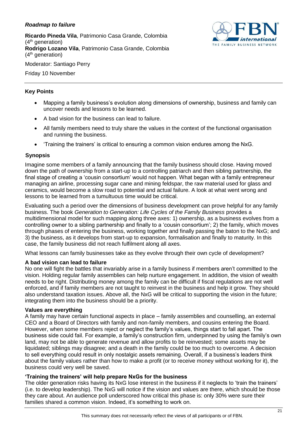## <span id="page-20-0"></span>*Roadmap to failure*

**Ricardo Pineda Vila**, Patrimonio Casa Grande, Colombia (4<sup>th</sup> generation) **Rodrigo Lozano Vila**, Patrimonio Casa Grande, Colombia  $(4<sup>th</sup>$  generation)



Moderator: Santiago Perry

Friday 10 November

## **Key Points**

- Mapping a family business's evolution along dimensions of ownership, business and family can uncover needs and lessons to be learned.
- A bad vision for the business can lead to failure.
- All family members need to truly share the values in the context of the functional organisation and running the business.
- 'Training the trainers' is critical to ensuring a common vision endures among the NxG.

## **Synopsis**

Imagine some members of a family announcing that the family business should close. Having moved down the path of ownership from a start-up to a controlling patriarch and then sibling partnership, the final stage of creating a 'cousin consortium' would not happen. What began with a family entrepreneur managing an airline, processing sugar cane and mining feldspar, the raw material used for glass and ceramics, would become a slow road to potential and actual failure. A look at what went wrong and lessons to be learned from a tumultuous time would be critical.

Evaluating such a period over the dimensions of business development can prove helpful for any family business. The book *Generation to Generation: Life Cycles of the Family Business* provides a multidimensional model for such mapping along three axes: 1) ownership, as a business evolves from a controlling owner to a sibling partnership and finally to a 'cousin consortium'; 2) the family, which moves through phases of entering the business, working together and finally passing the baton to the NxG; and 3) the business, as it develops from start-up to expansion, formalisation and finally to maturity. In this case, the family business did not reach fulfilment along all axes.

What lessons can family businesses take as they evolve through their own cycle of development?

#### **A bad vision can lead to failure**

No one will fight the battles that invariably arise in a family business if members aren't committed to the vision. Holding regular family assemblies can help nurture engagement. In addition, the vision of wealth needs to be right. Distributing money among the family can be difficult if fiscal regulations are not well enforced, and if family members are not taught to reinvest in the business and help it grow. They should also understand taxation issues. Above all, the NxG will be critical to supporting the vision in the future; integrating them into the business should be a priority.

#### **Values are everything**

A family may have certain functional aspects in place – family assemblies and counselling, an external CEO and a Board of Directors with family and non-family members, and cousins entering the Board. However, when some members reject or neglect the family's values, things start to fall apart. The business side could fail. For example, a family's construction firm, underpinned by using the family's own land, may not be able to generate revenue and allow profits to be reinvested; some assets may be liquidated; siblings may disagree; and a death in the family could be too much to overcome. A decision to sell everything could result in only nostalgic assets remaining. Overall, if a business's leaders think about the family values rather than how to make a profit (or to receive money without working for it), the business could very well be saved.

#### **'Training the trainers' will help prepare NxGs for the business**

The older generation risks having its NxG lose interest in the business if it neglects to 'train the trainers' (i.e. to develop leadership). The NxG will notice if the vision and values are there, which should be those they care about. An audience poll underscored how critical this phase is: only 30% were sure their families shared a common vision. Indeed, it's something to work on.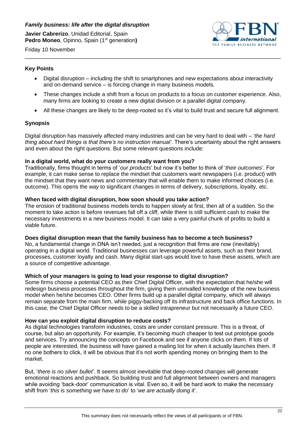

<span id="page-21-0"></span>Friday 10 November \_\_\_\_\_\_\_\_\_\_\_\_\_\_\_\_\_\_\_\_\_\_\_\_\_\_\_\_\_\_\_\_\_\_\_\_\_\_\_\_\_\_\_\_\_\_\_\_\_\_\_\_\_\_\_\_\_\_\_\_\_\_\_\_\_\_\_\_\_\_\_\_\_\_\_\_\_\_\_\_\_\_\_

## **Key Points**

- Digital disruption including the shift to smartphones and new expectations about interactivity and on-demand service – is forcing change in many business models.
- These changes include a shift from a focus on products to a focus on customer experience. Also, many firms are looking to create a new digital division or a parallel digital company.
- All these changes are likely to be deep-rooted so it's vital to build trust and secure full alignment.

## **Synopsis**

Digital disruption has massively affected many industries and can be very hard to deal with – '*the hard thing about hard things is that there's no instruction manual'*. There's uncertainty about the right answers and even about the right questions. But some relevant questions include:

#### **In a digital world, what do your customers really want from you?**

Traditionally, firms thought in terms of '*our products*' but now it's better to think of '*their outcomes*'. For example, it can make sense to replace the mindset that customers want newspapers (i.e. product) with the mindset that they want news and commentary that will enable them to make informed choices (i.e. outcome). This opens the way to significant changes in terms of delivery, subscriptions, loyalty, etc.

## **When faced with digital disruption, how soon should you take action?**

The erosion of traditional business models tends to happen slowly at first, then all of a sudden. So the moment to take action is before revenues fall off a cliff, while there is still sufficient cash to make the necessary investments in a new business model. It can take a very painful chunk of profits to build a viable future.

#### **Does digital disruption mean that the family business has to become a tech business?**

No, a fundamental change in DNA isn't needed, just a recognition that firms are now (inevitably) operating in a digital world. Traditional businesses can leverage powerful assets, such as their brand, processes, customer loyalty and cash. Many digital start-ups would love to have these assets, which are a source of competitive advantage.

#### **Which of your managers is going to lead your response to digital disruption?**

Some firms choose a potential CEO as their Chief Digital Officer, with the expectation that he/she will redesign business processes throughout the firm, giving them unrivalled knowledge of the new business model when he/she becomes CEO. Other firms build up a parallel digital company, which will always remain separate from the main firm, while piggy-backing off its infrastructure and back office functions. In this case, the Chief Digital Officer needs to be a skilled intrapreneur but not necessarily a future CEO.

#### **How can you exploit digital disruption to reduce costs?**

As digital technologies transform industries, costs are under constant pressure. This is a threat, of course, but also an opportunity. For example, it's becoming much cheaper to test out prototype goods and services. Try announcing the concepts on Facebook and see if anyone clicks on them. If lots of people are interested, the business will have gained a mailing list for when it actually launches them. If no one bothers to click, it will be obvious that it's not worth spending money on bringing them to the market.

But, '*there is no silver bullet*'. It seems almost inevitable that deep-rooted changes will generate emotional reactions and pushback. So building trust and full alignment between owners and managers while avoiding 'back-door' communication is vital. Even so, it will be hard work to make the necessary shift from '*this is something we have to do*' to '*we are actually doing it*'.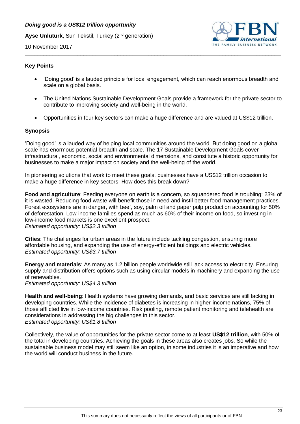## <span id="page-22-0"></span>*Doing good is a US\$12 trillion opportunity*

**Ayse Unluturk**, Sun Tekstil, Turkey (2nd generation)



10 November 2017

#### **Key Points**

• 'Doing good' is a lauded principle for local engagement, which can reach enormous breadth and scale on a global basis.

\_\_\_\_\_\_\_\_\_\_\_\_\_\_\_\_\_\_\_\_\_\_\_\_\_\_\_\_\_\_\_\_\_\_\_\_\_\_\_\_\_\_\_\_\_\_\_\_\_\_\_\_\_\_\_\_\_\_\_\_\_\_\_\_\_\_\_\_\_\_\_\_\_\_\_\_\_\_\_\_\_\_\_

- The United Nations Sustainable Development Goals provide a framework for the private sector to contribute to improving society and well-being in the world.
- Opportunities in four key sectors can make a huge difference and are valued at US\$12 trillion.

## **Synopsis**

'Doing good' is a lauded way of helping local communities around the world. But doing good on a global scale has enormous potential breadth and scale. The 17 Sustainable Development Goals cover infrastructural, economic, social and environmental dimensions, and constitute a historic opportunity for businesses to make a major impact on society and the well-being of the world.

In pioneering solutions that work to meet these goals, businesses have a US\$12 trillion occasion to make a huge difference in key sectors. How does this break down?

**Food and agriculture**: Feeding everyone on earth is a concern, so squandered food is troubling: 23% of it is wasted. Reducing food waste will benefit those in need and instil better food management practices. Forest ecosystems are in danger, with beef, soy, palm oil and paper pulp production accounting for 50% of deforestation. Low-income families spend as much as 60% of their income on food, so investing in low-income food markets is one excellent prospect. *Estimated opportunity: US\$2.3 trillion*

**Cities**: The challenges for urban areas in the future include tackling congestion, ensuring more affordable housing, and expanding the use of energy-efficient buildings and electric vehicles. *Estimated opportunity: US\$3.7 trillion*

**Energy and materials**: As many as 1.2 billion people worldwide still lack access to electricity. Ensuring supply and distribution offers options such as using circular models in machinery and expanding the use of renewables.

*Estimated opportunity: US\$4.3 trillion*

**Health and well-being**: Health systems have growing demands, and basic services are still lacking in developing countries. While the incidence of diabetes is increasing in higher-income nations, 75% of those afflicted live in low-income countries. Risk pooling, remote patient monitoring and telehealth are considerations in addressing the big challenges in this sector. *Estimated opportunity: US\$1.8 trillion* 

Collectively, the value of opportunities for the private sector come to at least **US\$12 trillion**, with 50% of the total in developing countries. Achieving the goals in these areas also creates jobs. So while the sustainable business model may still seem like an option, in some industries it is an imperative and how the world will conduct business in the future.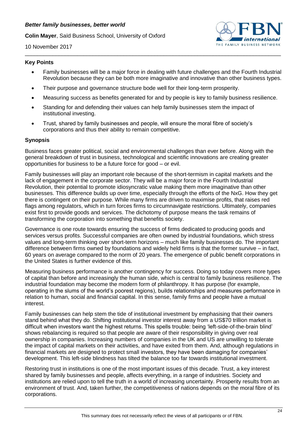<span id="page-23-0"></span>**Colin Mayer**, Saïd Business School, University of Oxford



10 November 2017

#### **Key Points**

• Family businesses will be a major force in dealing with future challenges and the Fourth Industrial Revolution because they can be both more imaginative and innovative than other business types.

\_\_\_\_\_\_\_\_\_\_\_\_\_\_\_\_\_\_\_\_\_\_\_\_\_\_\_\_\_\_\_\_\_\_\_\_\_\_\_\_\_\_\_\_\_\_\_\_\_\_\_\_\_\_\_\_\_\_\_\_\_\_\_\_\_\_\_\_\_\_\_\_\_\_\_\_\_\_\_\_\_\_\_

- Their purpose and governance structure bode well for their long-term prosperity.
- Measuring success as benefits generated for and by people is key to family business resilience.
- Standing for and defending their values can help family businesses stem the impact of institutional investing.
- Trust, shared by family businesses and people, will ensure the moral fibre of society's corporations and thus their ability to remain competitive.

#### **Synopsis**

Business faces greater political, social and environmental challenges than ever before. Along with the general breakdown of trust in business, technological and scientific innovations are creating greater opportunities for business to be a future force for good – or evil.

Family businesses will play an important role because of the short-termism in capital markets and the lack of engagement in the corporate sector. They will be a major force in the Fourth Industrial Revolution, their potential to promote idiosyncratic value making them more imaginative than other businesses. This difference builds up over time, especially through the efforts of the NxG. How they get there is contingent on their purpose. While many firms are driven to maximise profits, that raises red flags among regulators, which in turn forces firms to circumnavigate restrictions. Ultimately, companies exist first to provide goods and services. The dichotomy of purpose means the task remains of transforming the corporation into something that benefits society.

Governance is one route towards ensuring the success of firms dedicated to producing goods and services versus profits. Successful companies are often owned by industrial foundations, which stress values and long-term thinking over short-term horizons – much like family businesses do. The important difference between firms owned by foundations and widely held firms is that the former survive – in fact, 60 years on average compared to the norm of 20 years. The emergence of public benefit corporations in the United States is further evidence of this.

Measuring business performance is another contingency for success. Doing so today covers more types of capital than before and increasingly the human side, which is central to family business resilience. The industrial foundation may become the modern form of philanthropy. It has purpose (for example, operating in the slums of the world's poorest regions), builds relationships and measures performance in relation to human, social and financial capital. In this sense, family firms and people have a mutual interest.

Family businesses can help stem the tide of institutional investment by emphasising that their owners stand behind what they do. Shifting institutional investor interest away from a US\$70 trillion market is difficult when investors want the highest returns. This spells trouble: being 'left-side-of-the-brain blind' shows rebalancing is required so that people are aware of their responsibility in giving over real ownership in companies. Increasing numbers of companies in the UK and US are unwilling to tolerate the impact of capital markets on their activities, and have exited from them. And, although regulations in financial markets are designed to protect small investors, they have been damaging for companies' development. This left-side blindness has tilted the balance too far towards institutional investment.

Restoring trust in institutions is one of the most important issues of this decade. Trust, a key interest shared by family businesses and people, affects everything, in a range of industries. Society and institutions are relied upon to tell the truth in a world of increasing uncertainty. Prosperity results from an environment of trust. And, taken further, the competitiveness of nations depends on the moral fibre of its corporations.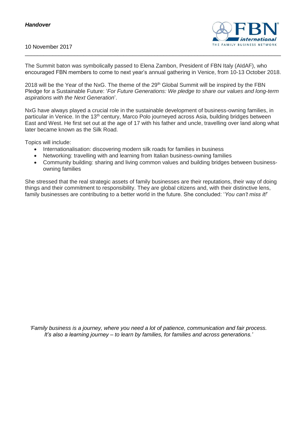## <span id="page-24-0"></span>*Handover*

#### 10 November 2017



The Summit baton was symbolically passed to Elena Zambon, President of FBN Italy (AIdAF), who encouraged FBN members to come to next year's annual gathering in Venice, from 10-13 October 2018.

\_\_\_\_\_\_\_\_\_\_\_\_\_\_\_\_\_\_\_\_\_\_\_\_\_\_\_\_\_\_\_\_\_\_\_\_\_\_\_\_\_\_\_\_\_\_\_\_\_\_\_\_\_\_\_\_\_\_\_\_\_\_\_\_\_\_\_\_\_\_\_\_\_\_\_\_\_\_\_\_\_\_\_

2018 will be the Year of the NxG. The theme of the 29<sup>th</sup> Global Summit will be inspired by the FBN Pledge for a Sustainable Future: '*For Future Generations: We pledge to share our values and long-term aspirations with the Next Generation*'.

NxG have always played a crucial role in the sustainable development of business-owning families, in particular in Venice. In the 13<sup>th</sup> century, Marco Polo journeyed across Asia, building bridges between East and West. He first set out at the age of 17 with his father and uncle, travelling over land along what later became known as the Silk Road.

Topics will include:

- Internationalisation: discovering modern silk roads for families in business
- Networking: travelling with and learning from Italian business-owning families
- Community building: sharing and living common values and building bridges between businessowning families

She stressed that the real strategic assets of family businesses are their reputations, their way of doing things and their commitment to responsibility. They are global citizens and, with their distinctive lens, family businesses are contributing to a better world in the future. She concluded: '*You can't miss it!*'

*'Family business is a journey, where you need a lot of patience, communication and fair process. It's also a learning journey – to learn by families, for families and across generations.'*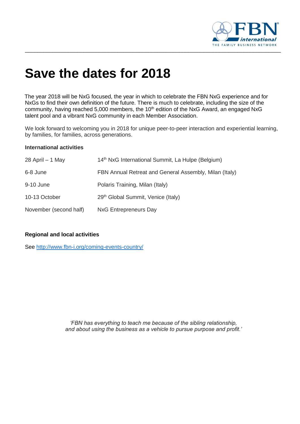

# **Save the dates for 2018**

The year 2018 will be NxG focused, the year in which to celebrate the FBN NxG experience and for NxGs to find their own definition of the future. There is much to celebrate, including the size of the community, having reached 5,000 members, the 10<sup>th</sup> edition of the NxG Award, an engaged NxG talent pool and a vibrant NxG community in each Member Association.

We look forward to welcoming you in 2018 for unique peer-to-peer interaction and experiential learning, by families, for families, across generations.

#### **International activities**

| 28 April - 1 May       | 14 <sup>th</sup> NxG International Summit, La Hulpe (Belgium) |
|------------------------|---------------------------------------------------------------|
| 6-8 June               | FBN Annual Retreat and General Assembly, Milan (Italy)        |
| 9-10 June              | Polaris Training, Milan (Italy)                               |
| 10-13 October          | 29 <sup>th</sup> Global Summit, Venice (Italy)                |
| November (second half) | NxG Entrepreneurs Day                                         |

## **Regional and local activities**

See<http://www.fbn-i.org/coming-events-country/>

*'FBN has everything to teach me because of the sibling relationship, and about using the business as a vehicle to pursue purpose and profit.'*